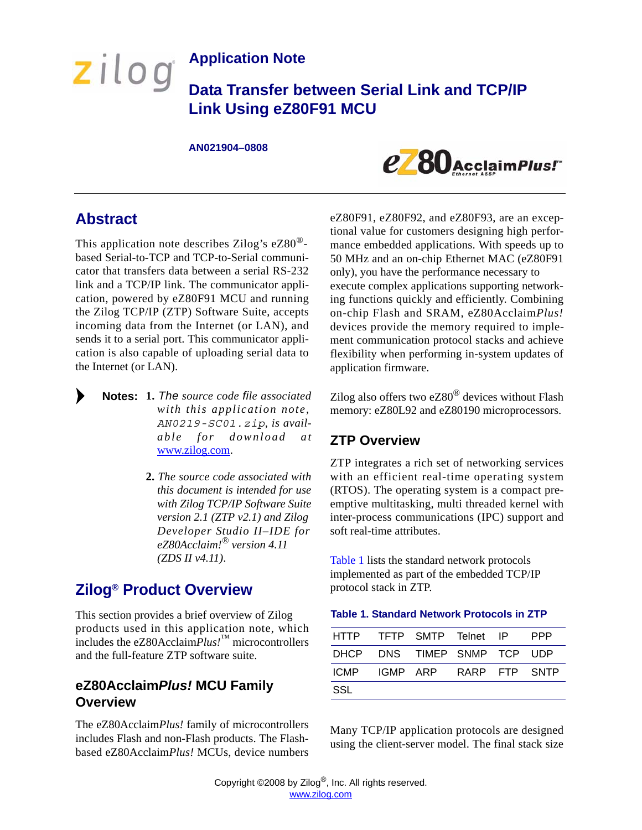## **Application Note**

**Data Transfer between Serial Link and TCP/IP Link Using eZ80F91 MCU**

#### **AN021904–0808**



### **Abstract**

zilog

This application note describes Zilog's eZ80® based Serial-to-TCP and TCP-to-Serial communicator that transfers data between a serial RS-232 link and a TCP/IP link. The communicator application, powered by eZ80F91 MCU and running the Zilog TCP/IP (ZTP) Software Suite, accepts incoming data from the Internet (or LAN), and sends it to a serial port. This communicator application is also capable of uploading serial data to the Internet (or LAN).

- **1.** *The source code file associated* **Notes:** *with this application note, AN0219-SC01.zip, is available for download at* [www.zilog.com](http://www.ZiLOG.com).
	- **2.** *The source code associated with this document is intended for use with Zilog TCP/IP Software Suite version 2.1 (ZTP v2.1) and Zilog Developer Studio II–IDE for eZ80Acclaim!® version 4.11 (ZDS II v4.11)*.

## **Zilog® Product Overview**

This section provides a brief overview of Zilog products used in this application note, which includes the eZ80Acclaim*Plus!*™ microcontrollers and the full-feature ZTP software suite.

### **eZ80Acclaim***Plus!* **MCU Family Overview**

The eZ80Acclaim*Plus!* family of microcontrollers includes Flash and non-Flash products. The Flashbased eZ80Acclaim*Plus!* MCUs, device numbers

eZ80F91, eZ80F92, and eZ80F93, are an exceptional value for customers designing high performance embedded applications. With speeds up to 50 MHz and an on-chip Ethernet MAC (eZ80F91 only), you have the performance necessary to execute complex applications supporting networking functions quickly and efficiently. Combining on-chip Flash and SRAM, eZ80Acclaim*Plus!* devices provide the memory required to implement communication protocol stacks and achieve flexibility when performing in-system updates of application firmware.

Zilog also offers two eZ80® devices without Flash memory: eZ80L92 and eZ80190 microprocessors.

### **ZTP Overview**

ZTP integrates a rich set of networking services with an efficient real-time operating system (RTOS). The operating system is a compact preemptive multitasking, multi threaded kernel with inter-process communications (IPC) support and soft real-time attributes.

[Table 1](#page-0-0) lists the standard network protocols implemented as part of the embedded TCP/IP protocol stack in ZTP.

<span id="page-0-0"></span>

|  | <b>Table 1. Standard Network Protocols in ZTP</b> |  |  |  |  |
|--|---------------------------------------------------|--|--|--|--|
|--|---------------------------------------------------|--|--|--|--|

| HTTP TFTP SMTP Telnet IP    |  |  | <b>PPP</b> |
|-----------------------------|--|--|------------|
| DHCP DNS TIMEP SNMP TCP UDP |  |  |            |
| ICMP IGMP ARP RARP FTP SNTP |  |  |            |
| SSL                         |  |  |            |

Many TCP/IP application protocols are designed using the client-server model. The final stack size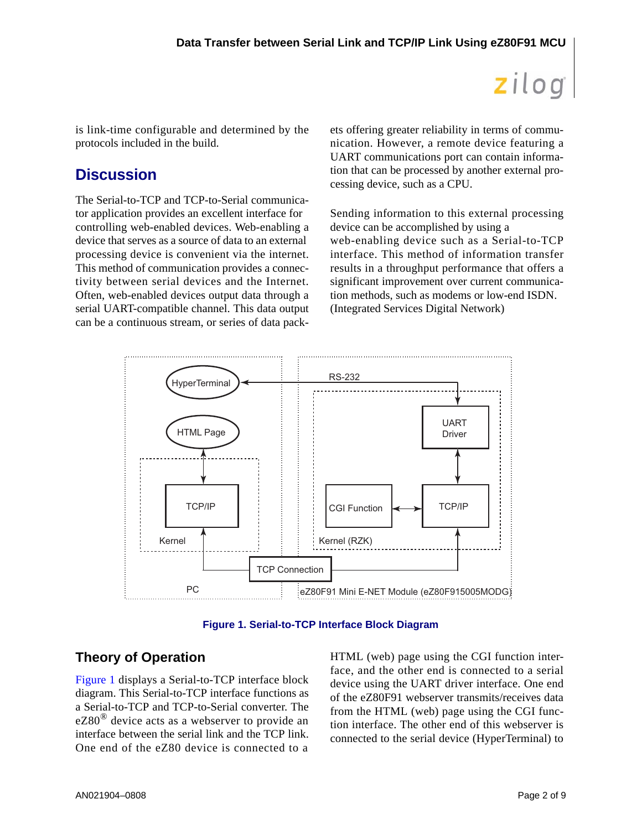is link-time configurable and determined by the protocols included in the build.

## **Discussion**

The Serial-to-TCP and TCP-to-Serial communicator application provides an excellent interface for controlling web-enabled devices. Web-enabling a device that serves as a source of data to an external processing device is convenient via the internet. This method of communication provides a connectivity between serial devices and the Internet. Often, web-enabled devices output data through a serial UART-compatible channel. This data output can be a continuous stream, or series of data packets offering greater reliability in terms of communication. However, a remote device featuring a UART communications port can contain information that can be processed by another external processing device, such as a CPU.

Sending information to this external processing device can be accomplished by using a web-enabling device such as a Serial-to-TCP interface. This method of information transfer results in a throughput performance that offers a significant improvement over current communication methods, such as modems or low-end ISDN. (Integrated Services Digital Network)



**Figure 1. Serial-to-TCP Interface Block Diagram**

### <span id="page-1-0"></span>**Theory of Operation**

[Figure 1](#page-1-0) displays a Serial-to-TCP interface block diagram. This Serial-to-TCP interface functions as a Serial-to-TCP and TCP-to-Serial converter. The eZ80<sup>®</sup> device acts as a webserver to provide an interface between the serial link and the TCP link. One end of the eZ80 device is connected to a

HTML (web) page using the CGI function interface, and the other end is connected to a serial device using the UART driver interface. One end of the eZ80F91 webserver transmits/receives data from the HTML (web) page using the CGI function interface. The other end of this webserver is connected to the serial device (HyperTerminal) to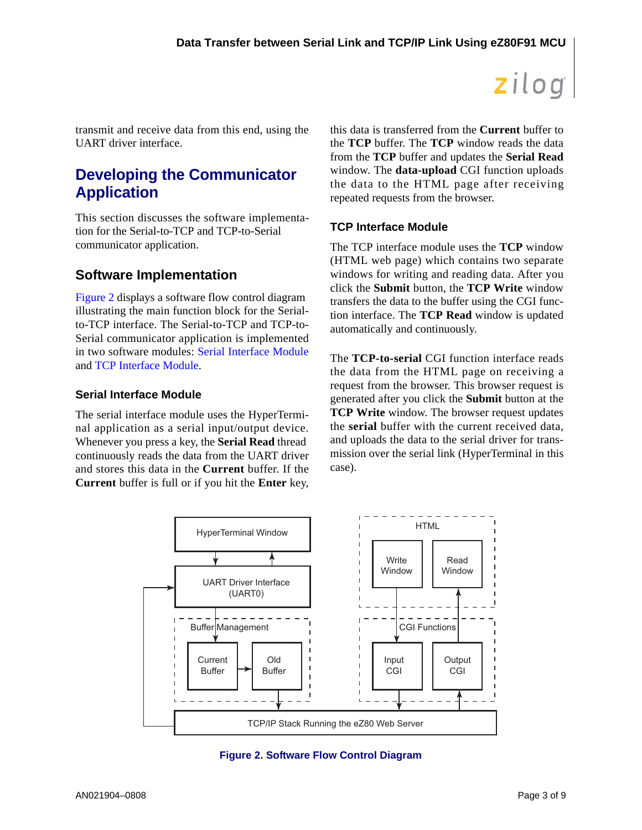transmit and receive data from this end, using the UART driver interface.

## **Developing the Communicator Application**

This section discusses the software implementation for the Serial-to-TCP and TCP-to-Serial communicator application.

### **Software Implementation**

[Figure 2](#page-2-2) displays a software flow control diagram illustrating the main function block for the Serialto-TCP interface. The Serial-to-TCP and TCP-to-Serial communicator application is implemented in two software modules: [Serial Interface Module](#page-2-0) and [TCP Interface Module](#page-2-1).

#### <span id="page-2-0"></span>**Serial Interface Module**

The serial interface module uses the HyperTerminal application as a serial input/output device. Whenever you press a key, the **Serial Read** thread continuously reads the data from the UART driver and stores this data in the **Current** buffer. If the **Current** buffer is full or if you hit the **Enter** key, this data is transferred from the **Current** buffer to the **TCP** buffer. The **TCP** window reads the data from the **TCP** buffer and updates the **Serial Read** window. The **data-upload** CGI function uploads the data to the HTML page after receiving repeated requests from the browser.

#### <span id="page-2-1"></span>**TCP Interface Module**

The TCP interface module uses the **TCP** window (HTML web page) which contains two separate windows for writing and reading data. After you click the **Submit** button, the **TCP Write** window transfers the data to the buffer using the CGI function interface. The **TCP Read** window is updated automatically and continuously.

The **TCP-to-serial** CGI function interface reads the data from the HTML page on receiving a request from the browser. This browser request is generated after you click the **Submit** button at the **TCP Write** window. The browser request updates the **serial** buffer with the current received data, and uploads the data to the serial driver for transmission over the serial link (HyperTerminal in this case).



<span id="page-2-2"></span>**Figure 2. Software Flow Control Diagram**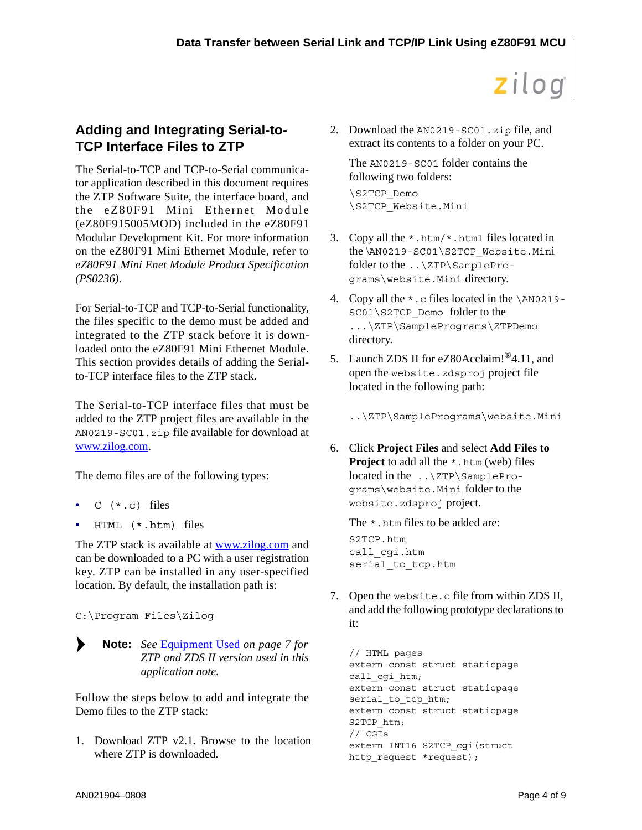### **Adding and Integrating Serial-to-TCP Interface Files to ZTP**

The Serial-to-TCP and TCP-to-Serial communicator application described in this document requires the ZTP Software Suite, the interface board, and the eZ80F91 Mini Ethernet Module (eZ80F915005MOD) included in the eZ80F91 Modular Development Kit. For more information on the eZ80F91 Mini Ethernet Module, refer to *eZ80F91 Mini Enet Module Product Specification (PS0236)*.

For Serial-to-TCP and TCP-to-Serial functionality, the files specific to the demo must be added and integrated to the ZTP stack before it is downloaded onto the eZ80F91 Mini Ethernet Module. This section provides details of adding the Serialto-TCP interface files to the ZTP stack.

The Serial-to-TCP interface files that must be added to the ZTP project files are available in the AN0219-SC01.zip file available for download at [www.zilog.com](http://www.ZiLOG.com).

The demo files are of the following types:

- **•** C (\*.c) files
- **•** HTML (\*.htm) files

The ZTP stack is available at [www.zilog.com](http://www.ZiLOG.com) and can be downloaded to a PC with a user registration key. ZTP can be installed in any user-specified location. By default, the installation path is:

C:\Program Files\Zilog

*See* [Equipment Used](#page-6-0) *[on page 7](#page-6-0) for* **Note:***ZTP and ZDS II version used in this application note.*

Follow the steps below to add and integrate the Demo files to the ZTP stack:

1. Download ZTP v2.1. Browse to the location where ZTP is downloaded.

2. Download the AN0219-SC01.zip file, and extract its contents to a folder on your PC.

The AN0219-SC01 folder contains the following two folders: \S2TCP\_Demo \S2TCP\_Website.Mini

- 3. Copy all the \*.htm/\*.html files located in the \AN0219-SC01\S2TCP\_Website.Mini folder to the ..\ZTP\SamplePrograms\website.Mini directory.
- 4. Copy all the \*.c files located in the \AN0219- SC01\S2TCP\_Demo folder to the ...\ZTP\SamplePrograms\ZTPDemo directory.
- 5. Launch ZDS II for eZ80Acclaim!<sup>®</sup>4.11, and open the website.zdsproj project file located in the following path:

..\ZTP\SamplePrograms\website.Mini

6. Click **Project Files** and select **Add Files to Project** to add all the  $*$ .htm (web) files located in the ..\ZTP\SamplePrograms\website.Mini folder to the website.zdsproj project.

The  $\star$ . htm files to be added are: S2TCP.htm call\_cgi.htm serial\_to\_tcp.htm

7. Open the website.c file from within ZDS II, and add the following prototype declarations to it:

```
// HTML pages
extern const struct staticpage 
call cgi htm;
extern const struct staticpage 
serial to tcp htm;
extern const struct staticpage 
S2TCP_htm;
// CGIs
extern INT16 S2TCP_cgi(struct 
http_request *request);
```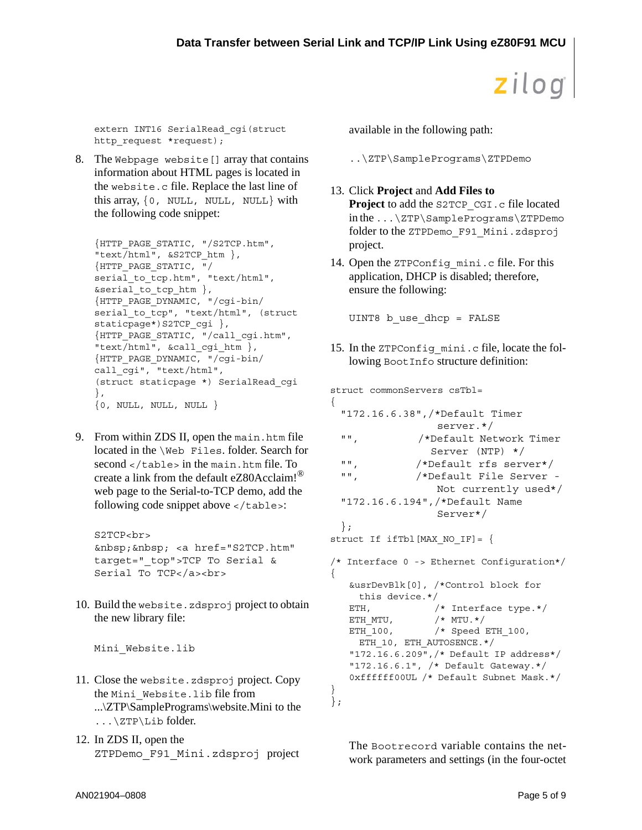extern INT16 SerialRead\_cgi(struct http request \*request);

8. The Webpage website [] array that contains information about HTML pages is located in the website.c file. Replace the last line of this array, {0, NULL, NULL, NULL} with the following code snippet:

```
{HTTP_PAGE_STATIC, "/S2TCP.htm", 
"text/html", &S2TCP_htm },
{HTTP_PAGE_STATIC, "/
serial to tcp.htm", "text/html",
&serial to tcp htm \},
{HTTP_PAGE_DYNAMIC, "/cgi-bin/
serial to tcp", "text/html", (struct
staticpage*)S2TCP cgi },
{HTTP_PAGE_STATIC, "/call_cgi.htm", 
"text/html", &call_cgi_htm },
{HTTP_PAGE_DYNAMIC, "/cgi-bin/
call_cgi", "text/html", 
(struct staticpage *) SerialRead_cgi 
},
\{0, NULL, NULL, NULL\}
```
9. From within ZDS II, open the main.htm file located in the \Web Files. folder. Search for second  $\langle$  /table> in the main.htm file. To create a link from the default eZ80Acclaim!<sup>®</sup> web page to the Serial-to-TCP demo, add the following code snippet above  $\lt$ /table>:

```
S2TCP<br>
&nbsp;&nbsp; <a href="S2TCP.htm" 
target="_top">TCP To Serial & 
Serial To TCP</a><br>
```
10. Build the website.zdsproj project to obtain the new library file:

Mini\_Website.lib

- 11. Close the website.zdsproj project. Copy the Mini\_Website.lib file from ...\ZTP\SamplePrograms\website.Mini to the ...\ZTP\Lib folder.
- 12. In ZDS II, open the ZTPDemo\_F91\_Mini.zdsproj project

available in the following path:

```
..\ZTP\SamplePrograms\ZTPDemo
```
#### 13. Click **Project** and **Add Files to Project** to add the S2TCP CGI.c file located in the ...\ZTP\SamplePrograms\ZTPDemo folder to the ZTPDemo\_F91\_Mini.zdsproj project.

14. Open the ZTPConfig mini.c file. For this application, DHCP is disabled; therefore, ensure the following:

UINT8 b\_use\_dhcp = FALSE

15. In the ZTPConfig\_mini.c file, locate the following BootInfo structure definition:

struct commonServers csTbl= { "172.16.6.38",/\*Default Timer server.\*/ "", /\*Default Network Timer Server (NTP) \*/ "", /\*Default rfs server\*/ "", /\*Default File Server - Not currently used\*/ "172.16.6.194",/\*Default Name Server\*/ }; struct If ifTbl[MAX NO IF]=  $\{$ /\* Interface 0 -> Ethernet Configuration\*/ {

```
&usrDevBlk[0], /*Control block for 
     this device.*/
   ETH, /* Interface type.*/
   \begin{array}{cc} \text{ETH} & \text{MTC} \\ \text{ETH} & \text{OM} \end{array}ETH_100, /* Speed ETH 100,
    ETH_10, ETH_AUTOSENCE.*/
   "172.16.6.209",/* Default IP address*/ 
   "172.16.6.1", /* Default Gateway.*/ 
   0xffffff00UL /* Default Subnet Mask.*/ 
}
};
```
The Bootrecord variable contains the network parameters and settings (in the four-octet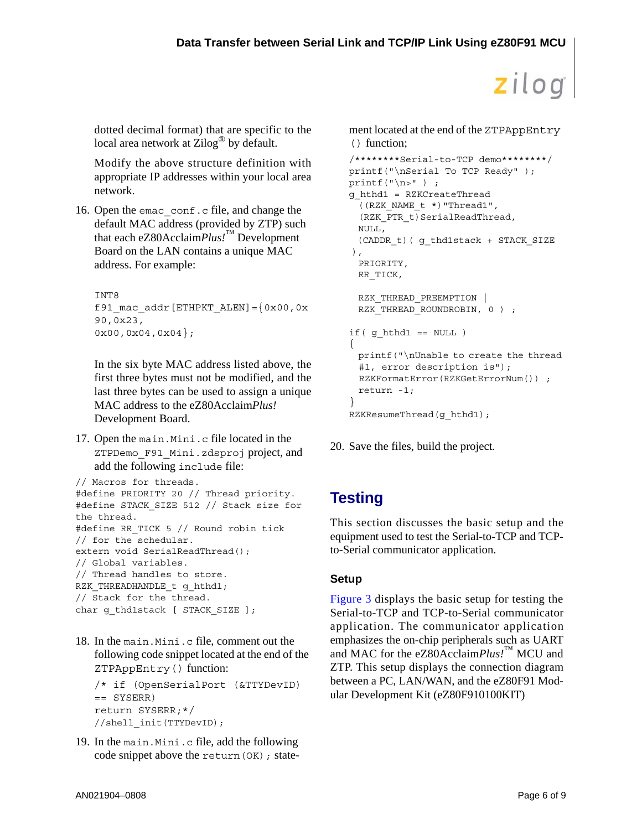dotted decimal format) that are specific to the local area network at  $\mathsf{Zilog}^{\omega}$  by default.

Modify the above structure definition with appropriate IP addresses within your local area network.

16. Open the emac conf.c file, and change the default MAC address (provided by ZTP) such that each eZ80Acclaim*Plus!*™ Development Board on the LAN contains a unique MAC address. For example:

```
INT8 
f91 mac addr [ETHPKT ALEN] = \{0x00,0x90,0x23,
0x00,0x04,0x04};
```
In the six byte MAC address listed above, the first three bytes must not be modified, and the last three bytes can be used to assign a unique MAC address to the eZ80Acclaim*Plus!* Development Board.

17. Open the main.Mini.c file located in the ZTPDemo\_F91\_Mini.zdsproj project, and add the following include file:

```
// Macros for threads.
#define PRIORITY 20 // Thread priority.
#define STACK_SIZE 512 // Stack size for 
the thread.
#define RR TICK 5 // Round robin tick
// for the schedular.
extern void SerialReadThread();
// Global variables.
// Thread handles to store.
RZK THREADHANDLE t g hthd1;
// Stack for the thread.
char g_thd1stack [ STACK_SIZE ];
```
18. In the main.Mini.c file, comment out the following code snippet located at the end of the ZTPAppEntry() function:

```
/* if (OpenSerialPort (&TTYDevID) 
== SYSERR) 
return SYSERR;*/
//shell_init(TTYDevID);
```
19. In the main.Mini.c file, add the following code snippet above the return (OK) ; statement located at the end of the ZTPAppEntry () function;

```
/********Serial-to-TCP demo********/
printf("\nSerial To TCP Ready" );
printf("\n\rangle" ) ;
g_hthd1 = RZKCreateThread
 ((RZK_NAME_t *)"Thread1",
 (RZK_PTR_t)SerialReadThread,
 NULL,
 (CADDR_t)( g_thd1stack + STACK_SIZE 
),
 PRIORITY,
 RR_TICK,
 RZK THREAD PREEMPTION |
 RZK THREAD ROUNDROBIN, 0 ) ;
if( q hthd1 == NULL ){
 printf("\nUnable to create the thread 
 #1, error description is"); 
 RZKFormatError(RZKGetErrorNum()) ;
 return -1;
}
RZKResumeThread(g_hthd1);
```

```
20. Save the files, build the project.
```
## **Testing**

This section discusses the basic setup and the equipment used to test the Serial-to-TCP and TCPto-Serial communicator application.

### **Setup**

[Figure 3](#page-6-1) displays the basic setup for testing the Serial-to-TCP and TCP-to-Serial communicator application. The communicator application emphasizes the on-chip peripherals such as UART and MAC for the eZ80Acclaim*Plus!*™ MCU and ZTP. This setup displays the connection diagram between a PC, LAN/WAN, and the eZ80F91 Modular Development Kit (eZ80F910100KIT)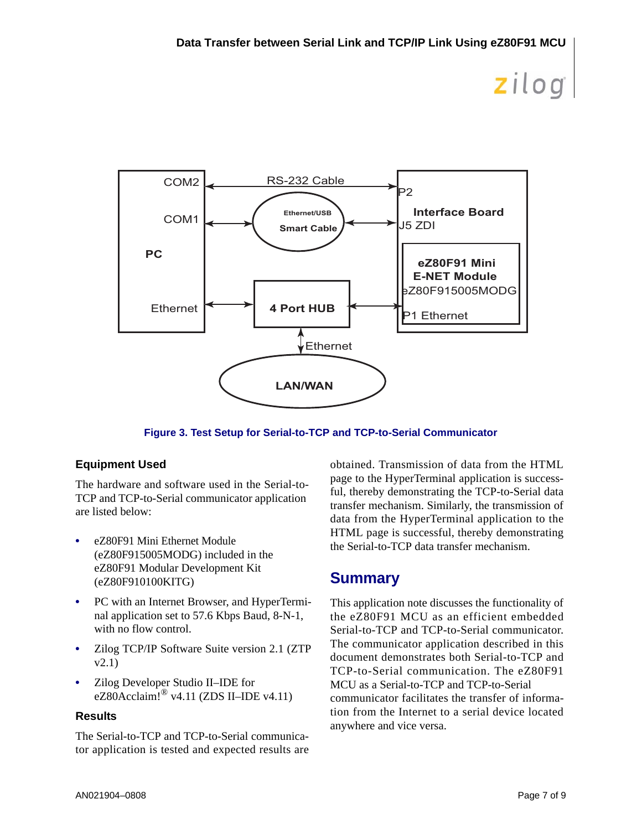

**Figure 3. Test Setup for Serial-to-TCP and TCP-to-Serial Communicator**

### <span id="page-6-1"></span><span id="page-6-0"></span>**Equipment Used**

The hardware and software used in the Serial-to-TCP and TCP-to-Serial communicator application are listed below:

- **•** eZ80F91 Mini Ethernet Module (eZ80F915005MODG) included in the eZ80F91 Modular Development Kit (eZ80F910100KITG)
- **•** PC with an Internet Browser, and HyperTerminal application set to 57.6 Kbps Baud, 8-N-1, with no flow control.
- **•** Zilog TCP/IP Software Suite version 2.1 (ZTP v2.1)
- **•** Zilog Developer Studio II–IDE for eZ80Acclaim!® v4.11 (ZDS II–IDE v4.11)

#### **Results**

The Serial-to-TCP and TCP-to-Serial communicator application is tested and expected results are obtained. Transmission of data from the HTML page to the HyperTerminal application is successful, thereby demonstrating the TCP-to-Serial data transfer mechanism. Similarly, the transmission of data from the HyperTerminal application to the HTML page is successful, thereby demonstrating the Serial-to-TCP data transfer mechanism.

## **Summary**

This application note discusses the functionality of the eZ80F91 MCU as an efficient embedded Serial-to-TCP and TCP-to-Serial communicator. The communicator application described in this document demonstrates both Serial-to-TCP and TCP-to-Serial communication. The eZ80F91 MCU as a Serial-to-TCP and TCP-to-Serial communicator facilitates the transfer of information from the Internet to a serial device located anywhere and vice versa.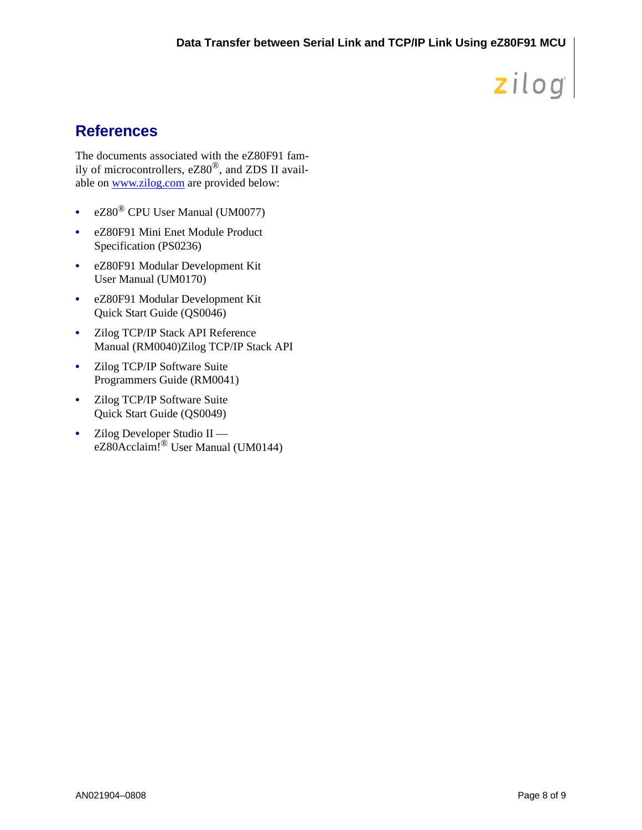## **References**

The documents associated with the eZ80F91 family of microcontrollers, eZ80®, and ZDS II available on www.zilog.com are provided below:

- **•** eZ80® CPU User Manual (UM0077)
- **•** eZ80F91 Mini Enet Module Product Specification (PS0236)
- **•** eZ80F91 Modular Development Kit User Manual (UM0170)
- **•** eZ80F91 Modular Development Kit Quick Start Guide (QS0046)
- **•** Zilog TCP/IP Stack API Reference Manual (RM0040)Zilog TCP/IP Stack API
- **•** Zilog TCP/IP Software Suite Programmers Guide (RM0041)
- **•** Zilog TCP/IP Software Suite Quick Start Guide (QS0049)
- **•** Zilog Developer Studio II eZ80Acclaim!® User Manual (UM0144)